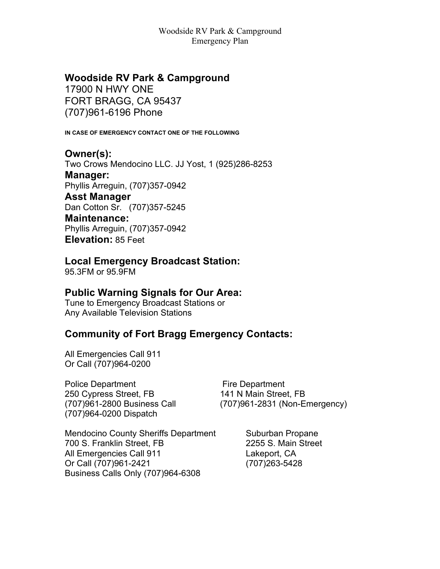## **Woodside RV Park & Campground**

17900 N HWY ONE FORT BRAGG, CA 95437 (707)961-6196 Phone

**IN CASE OF EMERGENCY CONTACT ONE OF THE FOLLOWING**

**Owner(s):** Two Crows Mendocino LLC. JJ Yost, 1 (925)286-8253 **Manager:** Phyllis Arreguin, (707)357-0942 **Asst Manager** Dan Cotton Sr. (707)357-5245 **Maintenance:** Phyllis Arreguin, (707)357-0942 **Elevation:** 85 Feet

## **Local Emergency Broadcast Station:**

95.3FM or 95.9FM

#### **Public Warning Signals for Our Area:**

Tune to Emergency Broadcast Stations or Any Available Television Stations

#### **Community of Fort Bragg Emergency Contacts:**

All Emergencies Call 911 Or Call (707)964-0200

Police Department Fire Department 250 Cypress Street, FB 141 N Main Street, FB (707)964-0200 Dispatch

(707)961-2800 Business Call (707)961-2831 (Non-Emergency)

Mendocino County Sheriffs Department Suburban Propane 700 S. Franklin Street, FB 2255 S. Main Street All Emergencies Call 911 Lakeport, CA Or Call (707)961-2421 (707)263-5428 Business Calls Only (707)964-6308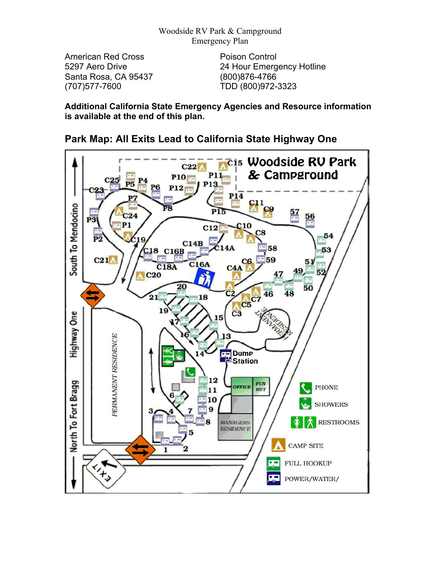American Red Cross **Poison Control** Santa Rosa, CA 95437 (800)876-4766 (707)577-7600 TDD (800)972-3323

5297 Aero Drive 24 Hour Emergency Hotline

**Additional California State Emergency Agencies and Resource information is available at the end of this plan.**



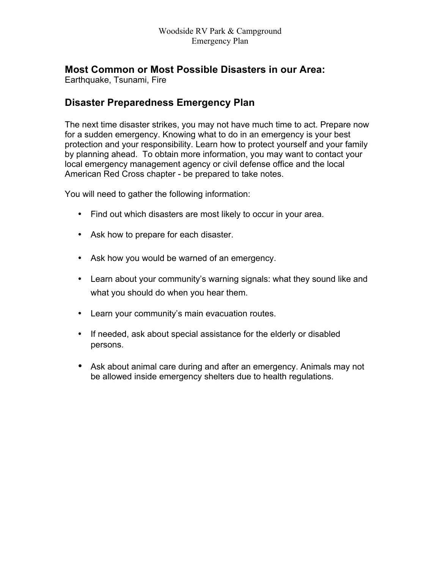### **Most Common or Most Possible Disasters in our Area:**

Earthquake, Tsunami, Fire

## **Disaster Preparedness Emergency Plan**

The next time disaster strikes, you may not have much time to act. Prepare now for a sudden emergency. Knowing what to do in an emergency is your best protection and your responsibility. Learn how to protect yourself and your family by planning ahead. To obtain more information, you may want to contact your local emergency management agency or civil defense office and the local American Red Cross chapter - be prepared to take notes.

You will need to gather the following information:

- Find out which disasters are most likely to occur in your area.
- Ask how to prepare for each disaster.
- Ask how you would be warned of an emergency.
- Learn about your community's warning signals: what they sound like and what you should do when you hear them.
- Learn your community's main evacuation routes.
- If needed, ask about special assistance for the elderly or disabled persons.
- Ask about animal care during and after an emergency. Animals may not be allowed inside emergency shelters due to health regulations.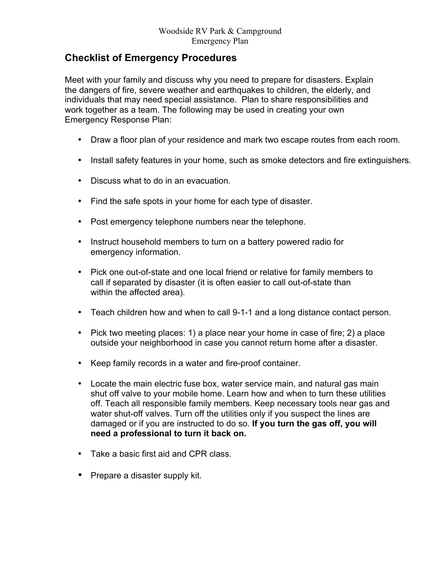### **Checklist of Emergency Procedures**

Meet with your family and discuss why you need to prepare for disasters. Explain the dangers of fire, severe weather and earthquakes to children, the elderly, and individuals that may need special assistance. Plan to share responsibilities and work together as a team. The following may be used in creating your own Emergency Response Plan:

- Draw a floor plan of your residence and mark two escape routes from each room.
- Install safety features in your home, such as smoke detectors and fire extinguishers.
- Discuss what to do in an evacuation.
- Find the safe spots in your home for each type of disaster.
- Post emergency telephone numbers near the telephone.
- Instruct household members to turn on a battery powered radio for emergency information.
- Pick one out-of-state and one local friend or relative for family members to call if separated by disaster (it is often easier to call out-of-state than within the affected area).
- Teach children how and when to call 9-1-1 and a long distance contact person.
- Pick two meeting places: 1) a place near your home in case of fire; 2) a place outside your neighborhood in case you cannot return home after a disaster.
- Keep family records in a water and fire-proof container.
- Locate the main electric fuse box, water service main, and natural gas main shut off valve to your mobile home. Learn how and when to turn these utilities off. Teach all responsible family members. Keep necessary tools near gas and water shut-off valves. Turn off the utilities only if you suspect the lines are damaged or if you are instructed to do so. **If you turn the gas off, you will need a professional to turn it back on.**
- Take a basic first aid and CPR class.
- Prepare a disaster supply kit.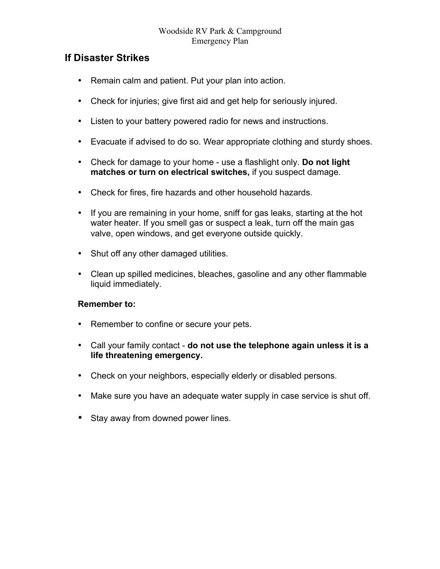### **If Disaster Strikes**

- Remain calm and patient. Put your plan into action.
- Check for injuries; give first aid and get help for seriously injured.
- Listen to your battery powered radio for news and instructions.
- Evacuate if advised to do so. Wear appropriate clothing and sturdy shoes.
- Check for damage to your home use a flashlight only. **Do not light matches or turn on electrical switches,** if you suspect damage.
- Check for fires, fire hazards and other household hazards.
- If you are remaining in your home, sniff for gas leaks, starting at the hot water heater. If you smell gas or suspect a leak, turn off the main gas valve, open windows, and get everyone outside quickly.
- Shut off any other damaged utilities.
- Clean up spilled medicines, bleaches, gasoline and any other flammable liquid immediately.

#### **Remember to:**

- Remember to confine or secure your pets.
- Call your family contact **do not use the telephone again unless it is a life threatening emergency.**
- Check on your neighbors, especially elderly or disabled persons.
- Make sure you have an adequate water supply in case service is shut off.
- Stay away from downed power lines.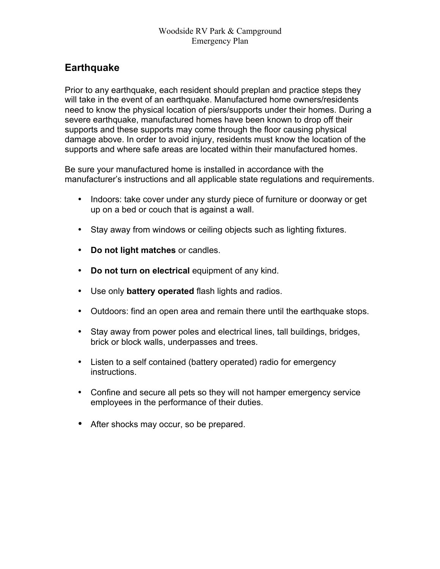# **Earthquake**

Prior to any earthquake, each resident should preplan and practice steps they will take in the event of an earthquake. Manufactured home owners/residents need to know the physical location of piers/supports under their homes. During a severe earthquake, manufactured homes have been known to drop off their supports and these supports may come through the floor causing physical damage above. In order to avoid injury, residents must know the location of the supports and where safe areas are located within their manufactured homes.

Be sure your manufactured home is installed in accordance with the manufacturer's instructions and all applicable state regulations and requirements.

- Indoors: take cover under any sturdy piece of furniture or doorway or get up on a bed or couch that is against a wall.
- Stay away from windows or ceiling objects such as lighting fixtures.
- **Do not light matches** or candles.
- **Do not turn on electrical** equipment of any kind.
- Use only **battery operated** flash lights and radios.
- Outdoors: find an open area and remain there until the earthquake stops.
- Stay away from power poles and electrical lines, tall buildings, bridges, brick or block walls, underpasses and trees.
- Listen to a self contained (battery operated) radio for emergency instructions.
- Confine and secure all pets so they will not hamper emergency service employees in the performance of their duties.
- After shocks may occur, so be prepared.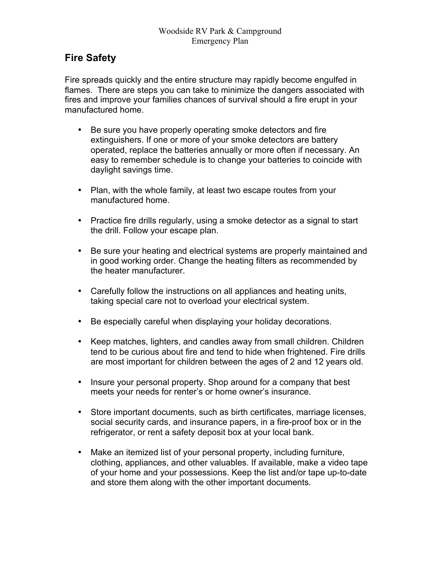## **Fire Safety**

Fire spreads quickly and the entire structure may rapidly become engulfed in flames. There are steps you can take to minimize the dangers associated with fires and improve your families chances of survival should a fire erupt in your manufactured home.

- Be sure you have properly operating smoke detectors and fire extinguishers. If one or more of your smoke detectors are battery operated, replace the batteries annually or more often if necessary. An easy to remember schedule is to change your batteries to coincide with daylight savings time.
- Plan, with the whole family, at least two escape routes from your manufactured home.
- Practice fire drills regularly, using a smoke detector as a signal to start the drill. Follow your escape plan.
- Be sure your heating and electrical systems are properly maintained and in good working order. Change the heating filters as recommended by the heater manufacturer.
- Carefully follow the instructions on all appliances and heating units, taking special care not to overload your electrical system.
- Be especially careful when displaying your holiday decorations.
- Keep matches, lighters, and candles away from small children. Children tend to be curious about fire and tend to hide when frightened. Fire drills are most important for children between the ages of 2 and 12 years old.
- Insure your personal property. Shop around for a company that best meets your needs for renter's or home owner's insurance.
- Store important documents, such as birth certificates, marriage licenses, social security cards, and insurance papers, in a fire-proof box or in the refrigerator, or rent a safety deposit box at your local bank.
- Make an itemized list of your personal property, including furniture, clothing, appliances, and other valuables. If available, make a video tape of your home and your possessions. Keep the list and/or tape up-to-date and store them along with the other important documents.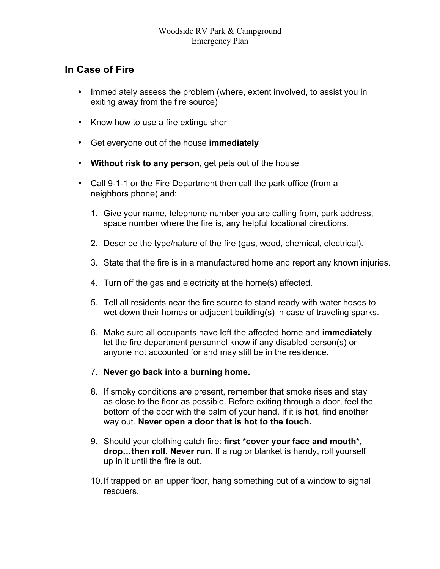### **In Case of Fire**

- Immediately assess the problem (where, extent involved, to assist you in exiting away from the fire source)
- Know how to use a fire extinguisher
- Get everyone out of the house **immediately**
- **Without risk to any person,** get pets out of the house
- Call 9-1-1 or the Fire Department then call the park office (from a neighbors phone) and:
	- 1. Give your name, telephone number you are calling from, park address, space number where the fire is, any helpful locational directions.
	- 2. Describe the type/nature of the fire (gas, wood, chemical, electrical).
	- 3. State that the fire is in a manufactured home and report any known injuries.
	- 4. Turn off the gas and electricity at the home(s) affected.
	- 5. Tell all residents near the fire source to stand ready with water hoses to wet down their homes or adjacent building(s) in case of traveling sparks.
	- 6. Make sure all occupants have left the affected home and **immediately**  let the fire department personnel know if any disabled person(s) or anyone not accounted for and may still be in the residence.
	- 7. **Never go back into a burning home.**
	- 8. If smoky conditions are present, remember that smoke rises and stay as close to the floor as possible. Before exiting through a door, feel the bottom of the door with the palm of your hand. If it is **hot**, find another way out. **Never open a door that is hot to the touch.**
	- 9. Should your clothing catch fire: **first \*cover your face and mouth\*, drop…then roll. Never run.** If a rug or blanket is handy, roll yourself up in it until the fire is out.
	- 10.If trapped on an upper floor, hang something out of a window to signal rescuers.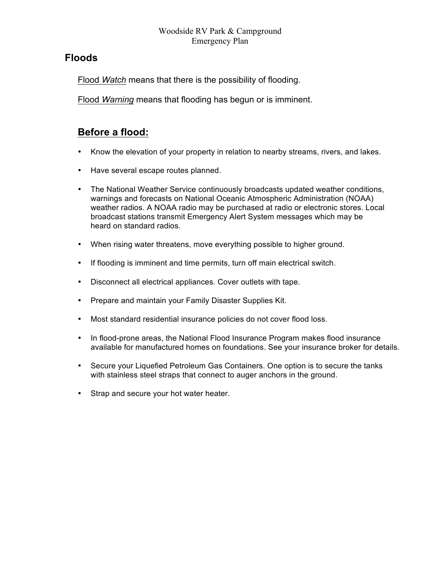### **Floods**

Flood *Watch* means that there is the possibility of flooding.

Flood *Warning* means that flooding has begun or is imminent.

## **Before a flood:**

- Know the elevation of your property in relation to nearby streams, rivers, and lakes.
- Have several escape routes planned.
- The National Weather Service continuously broadcasts updated weather conditions, warnings and forecasts on National Oceanic Atmospheric Administration (NOAA) weather radios. A NOAA radio may be purchased at radio or electronic stores. Local broadcast stations transmit Emergency Alert System messages which may be heard on standard radios.
- When rising water threatens, move everything possible to higher ground.
- If flooding is imminent and time permits, turn off main electrical switch.
- Disconnect all electrical appliances. Cover outlets with tape.
- Prepare and maintain your Family Disaster Supplies Kit.
- Most standard residential insurance policies do not cover flood loss.
- In flood-prone areas, the National Flood Insurance Program makes flood insurance available for manufactured homes on foundations. See your insurance broker for details.
- Secure your Liquefied Petroleum Gas Containers. One option is to secure the tanks with stainless steel straps that connect to auger anchors in the ground.
- Strap and secure your hot water heater.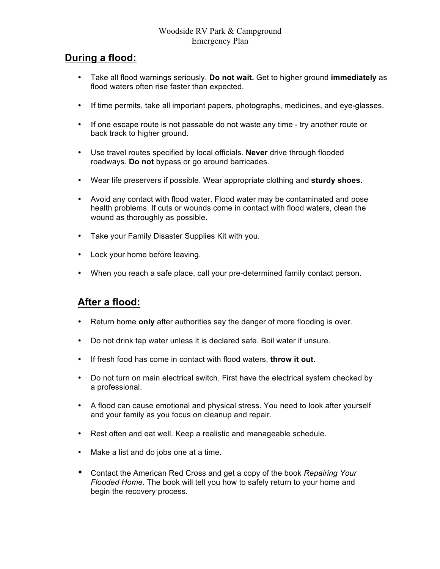## **During a flood:**

- Take all flood warnings seriously. **Do not wait.** Get to higher ground **immediately** as flood waters often rise faster than expected.
- If time permits, take all important papers, photographs, medicines, and eye-glasses.
- If one escape route is not passable do not waste any time try another route or back track to higher ground.
- Use travel routes specified by local officials. **Never** drive through flooded roadways. **Do not** bypass or go around barricades.
- Wear life preservers if possible. Wear appropriate clothing and **sturdy shoes**.
- Avoid any contact with flood water. Flood water may be contaminated and pose health problems. If cuts or wounds come in contact with flood waters, clean the wound as thoroughly as possible.
- Take your Family Disaster Supplies Kit with you.
- Lock your home before leaving.
- When you reach a safe place, call your pre-determined family contact person.

#### **After a flood:**

- Return home **only** after authorities say the danger of more flooding is over.
- Do not drink tap water unless it is declared safe. Boil water if unsure.
- If fresh food has come in contact with flood waters, **throw it out.**
- Do not turn on main electrical switch. First have the electrical system checked by a professional.
- A flood can cause emotional and physical stress. You need to look after yourself and your family as you focus on cleanup and repair.
- Rest often and eat well. Keep a realistic and manageable schedule.
- Make a list and do jobs one at a time.
- Contact the American Red Cross and get a copy of the book *Repairing Your Flooded Home.* The book will tell you how to safely return to your home and begin the recovery process.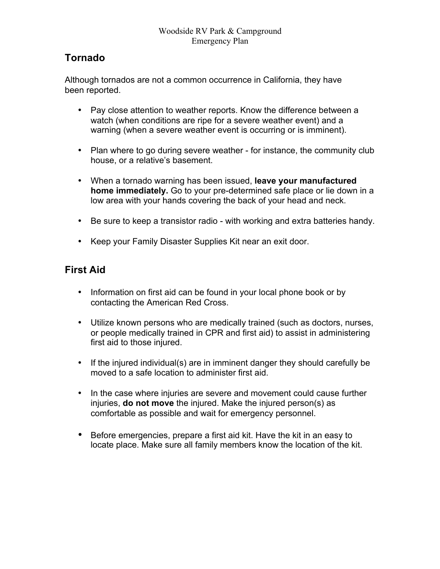# **Tornado**

Although tornados are not a common occurrence in California, they have been reported.

- Pay close attention to weather reports. Know the difference between a watch (when conditions are ripe for a severe weather event) and a warning (when a severe weather event is occurring or is imminent).
- Plan where to go during severe weather for instance, the community club house, or a relative's basement.
- When a tornado warning has been issued, **leave your manufactured home immediately.** Go to your pre-determined safe place or lie down in a low area with your hands covering the back of your head and neck.
- Be sure to keep a transistor radio with working and extra batteries handy.
- Keep your Family Disaster Supplies Kit near an exit door.

# **First Aid**

- Information on first aid can be found in your local phone book or by contacting the American Red Cross.
- Utilize known persons who are medically trained (such as doctors, nurses, or people medically trained in CPR and first aid) to assist in administering first aid to those injured.
- If the injured individual(s) are in imminent danger they should carefully be moved to a safe location to administer first aid.
- In the case where injuries are severe and movement could cause further injuries, **do not move** the injured. Make the injured person(s) as comfortable as possible and wait for emergency personnel.
- Before emergencies, prepare a first aid kit. Have the kit in an easy to locate place. Make sure all family members know the location of the kit.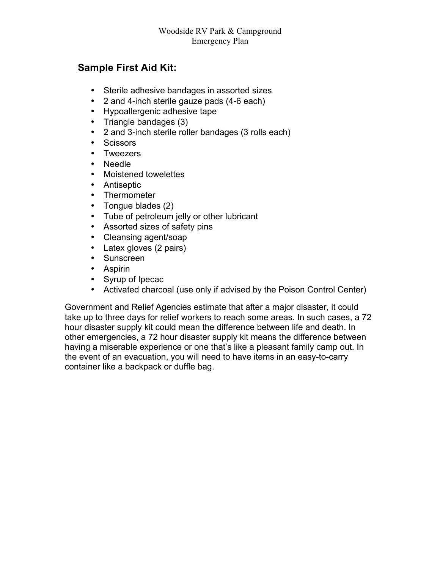## **Sample First Aid Kit:**

- Sterile adhesive bandages in assorted sizes
- 2 and 4-inch sterile gauze pads (4-6 each)
- Hypoallergenic adhesive tape
- Triangle bandages (3)
- 2 and 3-inch sterile roller bandages (3 rolls each)
- Scissors
- Tweezers
- Needle
- Moistened towelettes
- Antiseptic
- Thermometer
- Tongue blades (2)
- Tube of petroleum jelly or other lubricant
- Assorted sizes of safety pins
- Cleansing agent/soap
- Latex gloves (2 pairs)
- Sunscreen
- Aspirin
- Syrup of Ipecac
- Activated charcoal (use only if advised by the Poison Control Center)

Government and Relief Agencies estimate that after a major disaster, it could take up to three days for relief workers to reach some areas. In such cases, a 72 hour disaster supply kit could mean the difference between life and death. In other emergencies, a 72 hour disaster supply kit means the difference between having a miserable experience or one that's like a pleasant family camp out. In the event of an evacuation, you will need to have items in an easy-to-carry container like a backpack or duffle bag.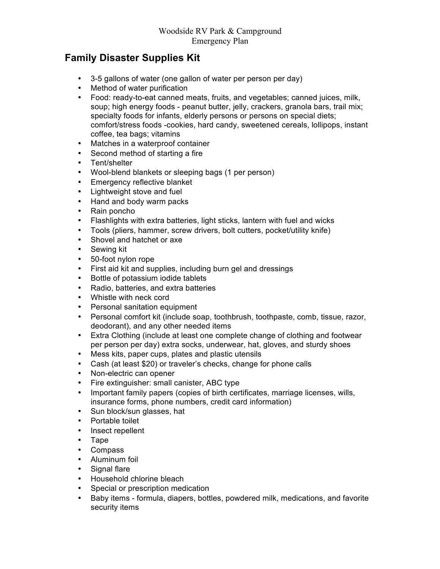## **Family Disaster Supplies Kit**

- 3-5 gallons of water (one gallon of water per person per day)
- Method of water purification
- Food: ready-to-eat canned meats, fruits, and vegetables; canned juices, milk, soup; high energy foods - peanut butter, jelly, crackers, granola bars, trail mix; specialty foods for infants, elderly persons or persons on special diets; comfort/stress foods -cookies, hard candy, sweetened cereals, lollipops, instant coffee, tea bags; vitamins
- Matches in a waterproof container
- Second method of starting a fire
- Tent/shelter
- Wool-blend blankets or sleeping bags (1 per person)
- Emergency reflective blanket
- Lightweight stove and fuel
- Hand and body warm packs
- Rain poncho
- Flashlights with extra batteries, light sticks, lantern with fuel and wicks
- Tools (pliers, hammer, screw drivers, bolt cutters, pocket/utility knife)
- Shovel and hatchet or axe
- Sewing kit
- 50-foot nylon rope
- First aid kit and supplies, including burn gel and dressings
- Bottle of potassium iodide tablets
- Radio, batteries, and extra batteries
- Whistle with neck cord
- Personal sanitation equipment
- Personal comfort kit (include soap, toothbrush, toothpaste, comb, tissue, razor, deodorant), and any other needed items
- Extra Clothing (include at least one complete change of clothing and footwear per person per day) extra socks, underwear, hat, gloves, and sturdy shoes
- Mess kits, paper cups, plates and plastic utensils
- Cash (at least \$20) or traveler's checks, change for phone calls
- Non-electric can opener
- Fire extinguisher: small canister, ABC type
- Important family papers (copies of birth certificates, marriage licenses, wills, insurance forms, phone numbers, credit card information)
- Sun block/sun glasses, hat
- Portable toilet
- Insect repellent
- Tape
- Compass
- Aluminum foil
- Signal flare
- Household chlorine bleach
- Special or prescription medication
- Baby items formula, diapers, bottles, powdered milk, medications, and favorite security items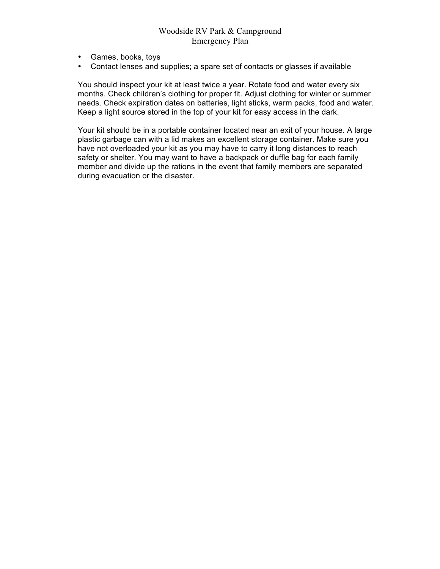- Games, books, toys
- Contact lenses and supplies; a spare set of contacts or glasses if available

You should inspect your kit at least twice a year. Rotate food and water every six months. Check children's clothing for proper fit. Adjust clothing for winter or summer needs. Check expiration dates on batteries, light sticks, warm packs, food and water. Keep a light source stored in the top of your kit for easy access in the dark.

Your kit should be in a portable container located near an exit of your house. A large plastic garbage can with a lid makes an excellent storage container. Make sure you have not overloaded your kit as you may have to carry it long distances to reach safety or shelter. You may want to have a backpack or duffle bag for each family member and divide up the rations in the event that family members are separated during evacuation or the disaster.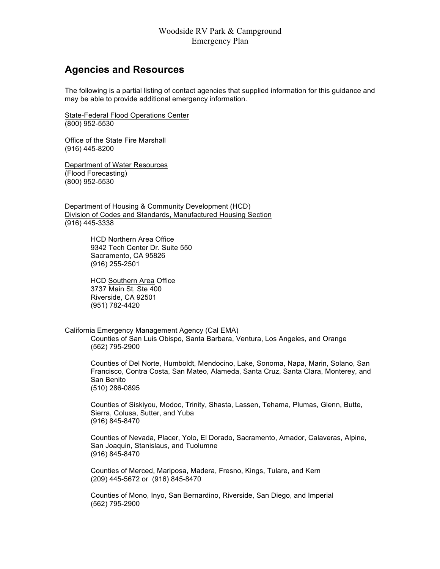#### **Agencies and Resources**

The following is a partial listing of contact agencies that supplied information for this guidance and may be able to provide additional emergency information.

State-Federal Flood Operations Center (800) 952-5530

Office of the State Fire Marshall (916) 445-8200

Department of Water Resources (Flood Forecasting) (800) 952-5530

Department of Housing & Community Development (HCD) Division of Codes and Standards, Manufactured Housing Section (916) 445-3338

> HCD Northern Area Office 9342 Tech Center Dr. Suite 550 Sacramento, CA 95826 (916) 255-2501

HCD Southern Area Office 3737 Main St, Ste 400 Riverside, CA 92501 (951) 782-4420

#### California Emergency Management Agency (Cal EMA)

Counties of San Luis Obispo, Santa Barbara, Ventura, Los Angeles, and Orange (562) 795-2900

Counties of Del Norte, Humboldt, Mendocino, Lake, Sonoma, Napa, Marin, Solano, San Francisco, Contra Costa, San Mateo, Alameda, Santa Cruz, Santa Clara, Monterey, and San Benito (510) 286-0895

Counties of Siskiyou, Modoc, Trinity, Shasta, Lassen, Tehama, Plumas, Glenn, Butte, Sierra, Colusa, Sutter, and Yuba (916) 845-8470

Counties of Nevada, Placer, Yolo, El Dorado, Sacramento, Amador, Calaveras, Alpine, San Joaquin, Stanislaus, and Tuolumne (916) 845-8470

Counties of Merced, Mariposa, Madera, Fresno, Kings, Tulare, and Kern (209) 445-5672 or (916) 845-8470

Counties of Mono, Inyo, San Bernardino, Riverside, San Diego, and Imperial (562) 795-2900